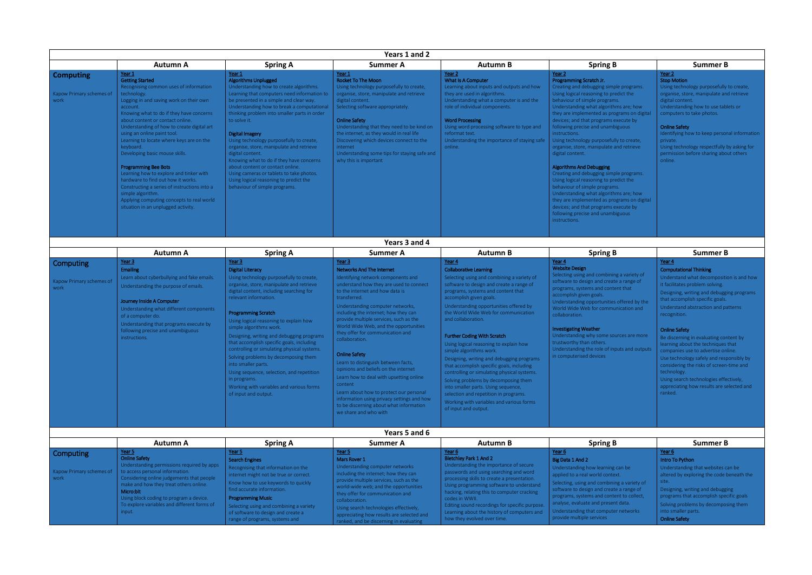| B                                | <b>Summer B</b>                              |  |  |
|----------------------------------|----------------------------------------------|--|--|
|                                  | Year 2<br><b>Stop Motion</b>                 |  |  |
| ple programs.                    | Using technology purposefully to create,     |  |  |
| edict the <sup>-</sup>           | organise, store, manipulate and retrieve     |  |  |
| ns.                              | digital content.                             |  |  |
| nms are; how                     | Understanding how to use tablets or          |  |  |
| ograms on digital                | computers to take photos.                    |  |  |
| execute by                       |                                              |  |  |
| biguous                          | <b>Online Safety</b>                         |  |  |
|                                  | Identifying how to keep personal information |  |  |
| lly to create,                   | private.                                     |  |  |
| and retrieve                     | Using technology respectfully by asking for  |  |  |
|                                  | permission before sharing about others       |  |  |
|                                  | online.                                      |  |  |
|                                  |                                              |  |  |
| ple programs.                    |                                              |  |  |
| edict the <sup>-</sup>           |                                              |  |  |
| ns.                              |                                              |  |  |
| ms are; how<br>ograms on digital |                                              |  |  |
| execute by                       |                                              |  |  |
| biguous                          |                                              |  |  |
|                                  |                                              |  |  |
|                                  |                                              |  |  |
|                                  |                                              |  |  |

|                                                      |                                                                                                                                                                                                                                                                                                                                                                                                                                                                                                                                                                                                                                                                                   |                                                                                                                                                                                                                                                                                                                                                                                                                                                                                                                                                                                                                                       | Years 1 and 2                                                                                                                                                                                                                                                                                                                                                                                                                                                                                                                                                                                                                                                                                                       |                                                                                                                                                                                                                                                                                                                                                                                                                                                                                                                                                                                                                                                                                                                                                  |                                                                                                                                                                                                                                                                                                                                                                                                                                                                                                                                                                                                                                                                                                                                                                                                       |                                                                                                                                                                                                                                                                                                                                                                                                                                                                                                                         |
|------------------------------------------------------|-----------------------------------------------------------------------------------------------------------------------------------------------------------------------------------------------------------------------------------------------------------------------------------------------------------------------------------------------------------------------------------------------------------------------------------------------------------------------------------------------------------------------------------------------------------------------------------------------------------------------------------------------------------------------------------|---------------------------------------------------------------------------------------------------------------------------------------------------------------------------------------------------------------------------------------------------------------------------------------------------------------------------------------------------------------------------------------------------------------------------------------------------------------------------------------------------------------------------------------------------------------------------------------------------------------------------------------|---------------------------------------------------------------------------------------------------------------------------------------------------------------------------------------------------------------------------------------------------------------------------------------------------------------------------------------------------------------------------------------------------------------------------------------------------------------------------------------------------------------------------------------------------------------------------------------------------------------------------------------------------------------------------------------------------------------------|--------------------------------------------------------------------------------------------------------------------------------------------------------------------------------------------------------------------------------------------------------------------------------------------------------------------------------------------------------------------------------------------------------------------------------------------------------------------------------------------------------------------------------------------------------------------------------------------------------------------------------------------------------------------------------------------------------------------------------------------------|-------------------------------------------------------------------------------------------------------------------------------------------------------------------------------------------------------------------------------------------------------------------------------------------------------------------------------------------------------------------------------------------------------------------------------------------------------------------------------------------------------------------------------------------------------------------------------------------------------------------------------------------------------------------------------------------------------------------------------------------------------------------------------------------------------|-------------------------------------------------------------------------------------------------------------------------------------------------------------------------------------------------------------------------------------------------------------------------------------------------------------------------------------------------------------------------------------------------------------------------------------------------------------------------------------------------------------------------|
|                                                      | <b>Autumn A</b>                                                                                                                                                                                                                                                                                                                                                                                                                                                                                                                                                                                                                                                                   | <b>Spring A</b>                                                                                                                                                                                                                                                                                                                                                                                                                                                                                                                                                                                                                       | <b>Summer A</b>                                                                                                                                                                                                                                                                                                                                                                                                                                                                                                                                                                                                                                                                                                     | <b>Autumn B</b>                                                                                                                                                                                                                                                                                                                                                                                                                                                                                                                                                                                                                                                                                                                                  | <b>Spring B</b>                                                                                                                                                                                                                                                                                                                                                                                                                                                                                                                                                                                                                                                                                                                                                                                       | <b>Summer B</b>                                                                                                                                                                                                                                                                                                                                                                                                                                                                                                         |
| <b>Computing</b><br>Kapow Primary schemes of<br>work | Year 1<br><b>Getting Started</b><br>Recognising common uses of information<br>technology.<br>Logging in and saving work on their own<br>account.<br>Knowing what to do if they have concerns<br>about content or contact online.<br>Understanding of how to create digital art<br>using an online paint tool.<br>Learning to locate where keys are on the<br>keyboard.<br>Developing basic mouse skills.<br><b>Programming Bee Bots</b><br>Learning how to explore and tinker with<br>hardware to find out how it works.<br>Constructing a series of instructions into a<br>simple algorithm.<br>Applying computing concepts to real world<br>situation in an unplugged activity. | Year 1<br><b>Algorithms Unplugged</b><br>Understanding how to create algorithms.<br>Learning that computers need information to<br>be presented in a simple and clear way.<br>Understanding how to break a computational<br>thinking problem into smaller parts in order<br>to solve it.<br><b>Digital Imagery</b><br>Using technology purposefully to create,<br>organise, store, manipulate and retrieve<br>digital content.<br>Knowing what to do if they have concerns<br>about content or contact online.<br>Using cameras or tablets to take photos.<br>Using logical reasoning to predict the<br>behaviour of simple programs. | Year 1<br><b>Rocket To The Moon</b><br>Using technology purposefully to create,<br>organise, store, manipulate and retrieve<br>digital content.<br>Selecting software appropriately.<br><b>Online Safety</b><br>Understanding that they need to be kind on<br>the internet, as they would in real life<br>Discovering which devices connect to the<br>internet<br>Understanding some tips for staying safe and<br>why this is important                                                                                                                                                                                                                                                                             | Year 2<br>What Is A Computer<br>Learning about inputs and outputs and how<br>they are used in algorithms.<br>Understanding what a computer is and the<br>role of individual components.<br><b>Word Processing</b><br>Using word processing software to type and<br>reformat text.<br>Understanding the importance of staying safe<br>online.                                                                                                                                                                                                                                                                                                                                                                                                     | Year 2<br>Programming Scratch Jr.<br>Creating and debugging simple programs.<br>Using logical reasoning to predict the<br>behaviour of simple programs.<br>Understanding what algorithms are; how<br>they are implemented as programs on digital<br>devices; and that programs execute by<br>following precise and unambiguous<br>instructions.<br>Using technology purposefully to create,<br>organise, store, manipulate and retrieve<br>digital content.<br>Algorithms And Debugging<br>Creating and debugging simple programs.<br>Using logical reasoning to predict the<br>behaviour of simple programs.<br>Understanding what algorithms are; how<br>they are implemented as programs on digital<br>devices; and that programs execute by<br>following precise and unambiguous<br>instructions. | Year 2<br><b>Stop Motion</b><br>Using technology purposefully<br>organise, store, manipulate an<br>digital content.<br>Understanding how to use tabl<br>computers to take photos.<br><b>Online Safety</b><br>Identifying how to keep persor<br>private.<br>Using technology respectfully I<br>permission before sharing abo<br>online.                                                                                                                                                                                  |
|                                                      |                                                                                                                                                                                                                                                                                                                                                                                                                                                                                                                                                                                                                                                                                   |                                                                                                                                                                                                                                                                                                                                                                                                                                                                                                                                                                                                                                       | Years 3 and 4                                                                                                                                                                                                                                                                                                                                                                                                                                                                                                                                                                                                                                                                                                       |                                                                                                                                                                                                                                                                                                                                                                                                                                                                                                                                                                                                                                                                                                                                                  |                                                                                                                                                                                                                                                                                                                                                                                                                                                                                                                                                                                                                                                                                                                                                                                                       |                                                                                                                                                                                                                                                                                                                                                                                                                                                                                                                         |
|                                                      | <b>Autumn A</b>                                                                                                                                                                                                                                                                                                                                                                                                                                                                                                                                                                                                                                                                   | <b>Spring A</b>                                                                                                                                                                                                                                                                                                                                                                                                                                                                                                                                                                                                                       | <b>Summer A</b>                                                                                                                                                                                                                                                                                                                                                                                                                                                                                                                                                                                                                                                                                                     | <b>Autumn B</b>                                                                                                                                                                                                                                                                                                                                                                                                                                                                                                                                                                                                                                                                                                                                  | <b>Spring B</b>                                                                                                                                                                                                                                                                                                                                                                                                                                                                                                                                                                                                                                                                                                                                                                                       | <b>Summer B</b>                                                                                                                                                                                                                                                                                                                                                                                                                                                                                                         |
| Computing                                            | Year $3$                                                                                                                                                                                                                                                                                                                                                                                                                                                                                                                                                                                                                                                                          | Year 3                                                                                                                                                                                                                                                                                                                                                                                                                                                                                                                                                                                                                                | Year 3                                                                                                                                                                                                                                                                                                                                                                                                                                                                                                                                                                                                                                                                                                              | Year 4                                                                                                                                                                                                                                                                                                                                                                                                                                                                                                                                                                                                                                                                                                                                           | Year 4                                                                                                                                                                                                                                                                                                                                                                                                                                                                                                                                                                                                                                                                                                                                                                                                | Year 4                                                                                                                                                                                                                                                                                                                                                                                                                                                                                                                  |
| Kapow Primary schemes of<br>work                     | <b>Emailing</b><br>Learn about cyberbullying and fake emails.<br>Understanding the purpose of emails.<br>Journey Inside A Computer<br>Understanding what different components<br>of a computer do.<br>Understanding that programs execute by<br>following precise and unambiguous<br>instructions.                                                                                                                                                                                                                                                                                                                                                                                | <b>Digital Literacy</b><br>Using technology purposefully to create,<br>organise, store, manipulate and retrieve<br>digital content, including searching for<br>relevant information.<br><b>Programming Scratch</b><br>Using logical reasoning to explain how<br>simple algorithms work.<br>Designing, writing and debugging programs<br>that accomplish specific goals, including<br>controlling or simulating physical systems.<br>Solving problems by decomposing them<br>into smaller parts.<br>Using sequence, selection, and repetition<br>in programs.<br>Working with variables and various forms<br>of input and output.      | <b>Networks And The Internet</b><br>Identifying network components and<br>understand how they are used to connect<br>to the internet and how data is<br>transferred.<br>Understanding computer networks,<br>including the internet; how they can<br>provide multiple services, such as the<br>World Wide Web, and the opportunities<br>they offer for communication and<br>collaboration.<br><b>Online Safety</b><br>Learn to distinguish between facts,<br>opinions and beliefs on the internet<br>Learn how to deal with upsetting online<br>content<br>Learn about how to protect our personal<br>information using privacy settings and how<br>to be discerning about what information<br>we share and who with | <b>Collaborative Learning</b><br>Selecting using and combining a variety of<br>software to design and create a range of<br>programs, systems and content that<br>accomplish given goals.<br>Understanding opportunities offered by<br>the World Wide Web for communication<br>and collaboration.<br><b>Further Coding With Scratch</b><br>Using logical reasoning to explain how<br>simple algorithms work.<br>Designing, writing and debugging programs<br>that accomplish specific goals, including<br>controlling or simulating physical systems.<br>Solving problems by decomposing them<br>into smaller parts. Using sequence,<br>selection and repetition in programs.<br>Working with variables and various forms<br>of input and output. | <b>Website Design</b><br>Selecting using and combining a variety of<br>software to design and create a range of<br>programs, systems and content that<br>accomplish given goals.<br>Understanding opportunities offered by the<br>World Wide Web for communication and<br>collaboration.<br><b>Investigating Weather</b><br>Understanding why some sources are more<br>trustworthy than others.<br>Understanding the role of inputs and outputs<br>in computerised devices                                                                                                                                                                                                                                                                                                                            | <b>Computational Thinking</b><br>Understand what decompositi<br>it facilitates problem solving.<br>Designing, writing and debuggi<br>that accomplish specific goals.<br>Understand abstraction and pa<br>recognition.<br><b>Online Safety</b><br>Be discerning in evaluating cor<br>learning about the techniques<br>companies use to advertise on<br>Use technology safely and resp<br>considering the risks of screen-<br>technology.<br>Using search technologies effe<br>appreciating how results are se<br>ranked. |
|                                                      |                                                                                                                                                                                                                                                                                                                                                                                                                                                                                                                                                                                                                                                                                   |                                                                                                                                                                                                                                                                                                                                                                                                                                                                                                                                                                                                                                       | Years 5 and 6                                                                                                                                                                                                                                                                                                                                                                                                                                                                                                                                                                                                                                                                                                       |                                                                                                                                                                                                                                                                                                                                                                                                                                                                                                                                                                                                                                                                                                                                                  |                                                                                                                                                                                                                                                                                                                                                                                                                                                                                                                                                                                                                                                                                                                                                                                                       |                                                                                                                                                                                                                                                                                                                                                                                                                                                                                                                         |
|                                                      | <b>Autumn A</b>                                                                                                                                                                                                                                                                                                                                                                                                                                                                                                                                                                                                                                                                   | <b>Spring A</b>                                                                                                                                                                                                                                                                                                                                                                                                                                                                                                                                                                                                                       | <b>Summer A</b>                                                                                                                                                                                                                                                                                                                                                                                                                                                                                                                                                                                                                                                                                                     | <b>Autumn B</b>                                                                                                                                                                                                                                                                                                                                                                                                                                                                                                                                                                                                                                                                                                                                  | <b>Spring B</b>                                                                                                                                                                                                                                                                                                                                                                                                                                                                                                                                                                                                                                                                                                                                                                                       | <b>Summer B</b>                                                                                                                                                                                                                                                                                                                                                                                                                                                                                                         |
| Computing<br>Kapow Primary schemes of<br>work        | Year 5<br><b>Online Safety</b><br>Understanding permissions required by apps<br>to access personal information.<br>Considering online judgements that people<br>make and how they treat others online.<br>Micro:bit<br>Using block coding to program a device.<br>To explore variables and different forms of<br>input.                                                                                                                                                                                                                                                                                                                                                           | Year 5<br><b>Search Engines</b><br>Recognising that information on the<br>internet might not be true or correct.<br>Know how to use keywords to quickly<br>find accurate information.<br><b>Programming Music</b><br>Selecting using and combining a variety<br>of software to design and create a<br>range of programs, systems and                                                                                                                                                                                                                                                                                                  | Year 5<br>Mars Rover 1<br>Understanding computer networks<br>including the internet; how they can<br>provide multiple services, such as the<br>world-wide web; and the opportunities<br>they offer for communication and<br>collaboration.<br>Using search technologies effectively,<br>appreciating how results are selected and<br>ranked, and be discerning in evaluating                                                                                                                                                                                                                                                                                                                                        | Year 6<br>Bletchley Park 1 And 2<br>Understanding the importance of secure<br>passwords and using searching and word<br>processing skills to create a presentation.<br>Using programming software to understand<br>hacking, relating this to computer cracking<br>codes in WWII.<br>Editing sound recordings for specific purpose.<br>Learning about the history of computers and<br>how they evolved over time.                                                                                                                                                                                                                                                                                                                                 | Year 6<br>Big Data 1 And 2<br>Understanding how learning can be<br>applied to a real world context.<br>Selecting, using and combining a variety of<br>software to design and create a range of<br>programs, systems and content to collect,<br>analyse, evaluate and present data.<br>Understanding that computer networks<br>provide multiple services                                                                                                                                                                                                                                                                                                                                                                                                                                               | Year 6<br>Intro To Python<br>Understanding that websites c<br>altered by exploring the code b<br>site.<br>Designing, writing and debuggi<br>programs that accomplish speo<br>Solving problems by decompos<br>into smaller parts.<br><b>Online Safety</b>                                                                                                                                                                                                                                                                |

| В                                                                                   | Summer B                                                                                                                                                                                                                                                                                                                                            |  |  |
|-------------------------------------------------------------------------------------|-----------------------------------------------------------------------------------------------------------------------------------------------------------------------------------------------------------------------------------------------------------------------------------------------------------------------------------------------------|--|--|
|                                                                                     | Year 4                                                                                                                                                                                                                                                                                                                                              |  |  |
| ing a variety of<br>te a range of<br>tent that<br>s offered by the<br>unication and | <b>Computational Thinking</b><br>Understand what decomposition is and how<br>it facilitates problem solving.<br>Designing, writing and debugging programs<br>that accomplish specific goals.<br>Understand abstraction and patterns<br>recognition.                                                                                                 |  |  |
| purces are more<br>puts and outputs                                                 | <b>Online Safety</b><br>Be discerning in evaluating content by<br>learning about the techniques that<br>companies use to advertise online.<br>Use technology safely and responsibly by<br>considering the risks of screen-time and<br>technology.<br>Using search technologies effectively,<br>appreciating how results are selected and<br>ranked. |  |  |

| B                                                                          | Summer B                                                                                                                                                                                                        |  |  |
|----------------------------------------------------------------------------|-----------------------------------------------------------------------------------------------------------------------------------------------------------------------------------------------------------------|--|--|
| g can be<br>ext.<br>ing a variety of<br>ate a range of<br>tent to collect, | Year <sub>6</sub><br>Intro To Python<br>Understanding that websites can be<br>altered by exploring the code beneath the<br>site.<br>Designing, writing and debugging<br>programs that accomplish specific goals |  |  |
| ent data.<br>ter networks                                                  | Solving problems by decomposing them<br>into smaller parts.<br><b>Online Safety</b>                                                                                                                             |  |  |